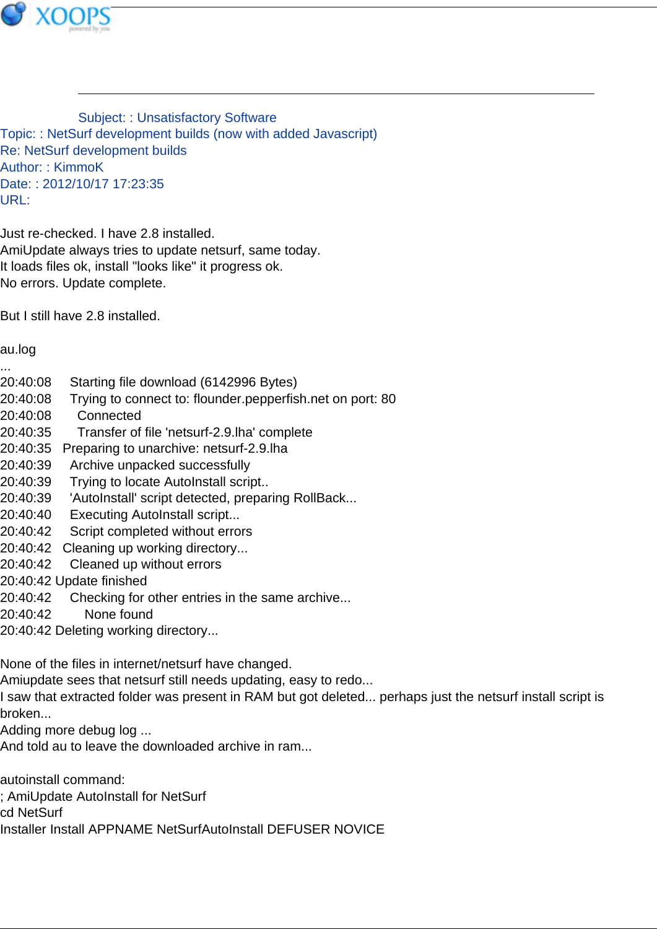

Subject: : Unsatisfactory Software Topic: : NetSurf development builds (now with added Javascript) Re: NetSurf development builds Author: : KimmoK Date: : 2012/10/17 17:23:35 URL:

Just re-checked. I have 2.8 installed. AmiUpdate always tries to update netsurf, same today. It loads files ok, install "looks like" it progress ok. No errors. Update complete.

But I still have 2.8 installed.

## au.log

...

- 20:40:08 Starting file download (6142996 Bytes)
- 20:40:08 Trying to connect to: flounder.pepperfish.net on port: 80
- 20:40:08 Connected
- 20:40:35 Transfer of file 'netsurf-2.9.lha' complete
- 20:40:35 Preparing to unarchive: netsurf-2.9.lha
- 20:40:39 Archive unpacked successfully
- 20:40:39 Trying to locate AutoInstall script..
- 20:40:39 'AutoInstall' script detected, preparing RollBack...
- 20:40:40 Executing AutoInstall script...
- 20:40:42 Script completed without errors
- 20:40:42 Cleaning up working directory...
- 20:40:42 Cleaned up without errors
- 20:40:42 Update finished
- 20:40:42 Checking for other entries in the same archive...
- 20:40:42 None found
- 20:40:42 Deleting working directory...

None of the files in internet/netsurf have changed.

- Amiupdate sees that netsurf still needs updating, easy to redo...
- I saw that extracted folder was present in RAM but got deleted... perhaps just the netsurf install script is broken...
- Adding more debug log ...
- And told au to leave the downloaded archive in ram...

autoinstall command:

- ; AmiUpdate AutoInstall for NetSurf
- cd NetSurf
- Installer Install APPNAME NetSurfAutoInstall DEFUSER NOVICE